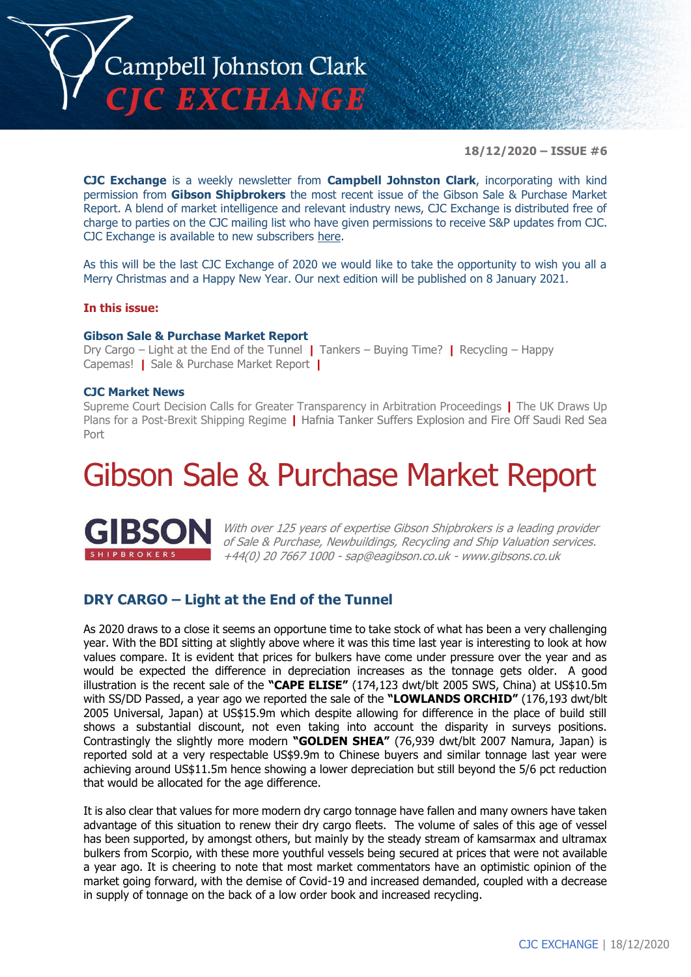

**18/12/2020 – ISSUE #6**

**CJC Exchange** is a weekly newsletter from **Campbell Johnston Clark**, incorporating with kind permission from **Gibson Shipbrokers** the most recent issue of the Gibson Sale & Purchase Market Report. A blend of market intelligence and relevant industry news, CJC Exchange is distributed free of charge to parties on the CJC mailing list who have given permissions to receive S&P updates from CJC. CJC Exchange is available to new subscribers [here.](mailto:jamesc@cjclaw.com?subject=CJC%20Exchange%20sign-up)

As this will be the last CJC Exchange of 2020 we would like to take the opportunity to wish you all a Merry Christmas and a Happy New Year. Our next edition will be published on 8 January 2021.

#### **In this issue:**

#### **Gibson Sale & Purchase Market Report**

Dry Cargo – Light at the End of the Tunnel **|** Tankers – Buying Time? **|** Recycling – Happy Capemas! **|** Sale & Purchase Market Report **|**

#### **CJC Market News**

Supreme Court Decision Calls for Greater Transparency in Arbitration Proceedings **|** The UK Draws Up Plans for a Post-Brexit Shipping Regime **|** Hafnia Tanker Suffers Explosion and Fire Off Saudi Red Sea Port

## Gibson Sale & Purchase Market Report



With over 125 years of expertise Gibson Shipbrokers is a leading provider of Sale & Purchase, Newbuildings, Recycling and Ship Valuation services. +44(0) 20 7667 1000 - [sap@eagibson.co.uk](mailto:sap@eagibson.co.uk) - [www.gibsons.co.uk](https://protect-eu.mimecast.com/s/VO6nCGZzRS60KqcK1jQh/)

#### **DRY CARGO – Light at the End of the Tunnel**

As 2020 draws to a close it seems an opportune time to take stock of what has been a very challenging year. With the BDI sitting at slightly above where it was this time last year is interesting to look at how values compare. It is evident that prices for bulkers have come under pressure over the year and as would be expected the difference in depreciation increases as the tonnage gets older. A good illustration is the recent sale of the **"CAPE ELISE"** (174,123 dwt/blt 2005 SWS, China) at US\$10.5m with SS/DD Passed, a year ago we reported the sale of the **"LOWLANDS ORCHID"** (176,193 dwt/blt 2005 Universal, Japan) at US\$15.9m which despite allowing for difference in the place of build still shows a substantial discount, not even taking into account the disparity in surveys positions. Contrastingly the slightly more modern **"GOLDEN SHEA"** (76,939 dwt/blt 2007 Namura, Japan) is reported sold at a very respectable US\$9.9m to Chinese buyers and similar tonnage last year were achieving around US\$11.5m hence showing a lower depreciation but still beyond the 5/6 pct reduction that would be allocated for the age difference.

It is also clear that values for more modern dry cargo tonnage have fallen and many owners have taken advantage of this situation to renew their dry cargo fleets. The volume of sales of this age of vessel has been supported, by amongst others, but mainly by the steady stream of kamsarmax and ultramax bulkers from Scorpio, with these more youthful vessels being secured at prices that were not available a year ago. It is cheering to note that most market commentators have an optimistic opinion of the market going forward, with the demise of Covid-19 and increased demanded, coupled with a decrease in supply of tonnage on the back of a low order book and increased recycling.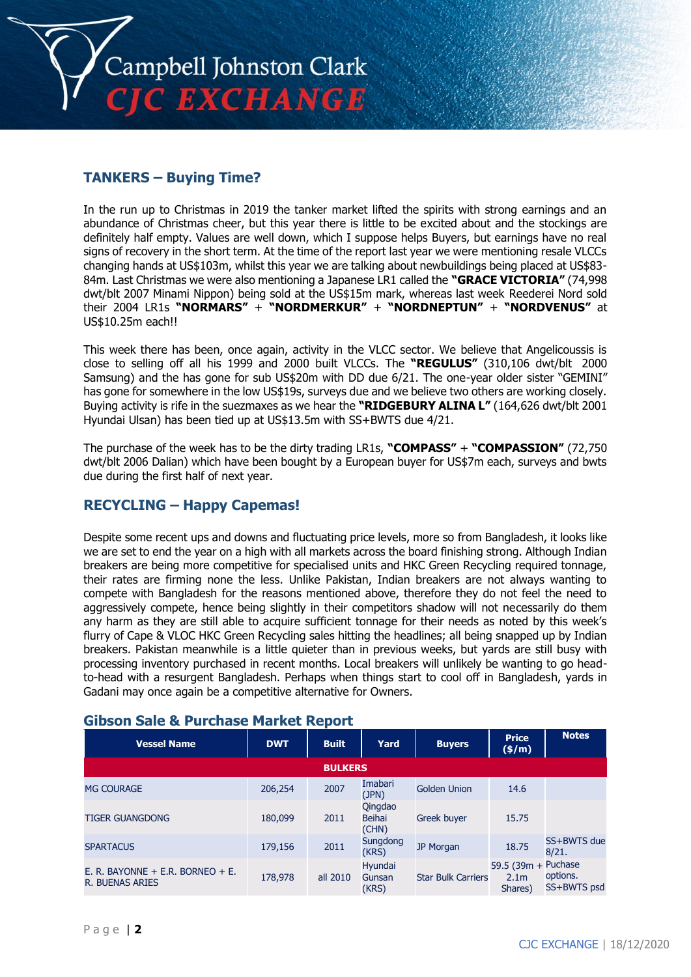

#### **TANKERS – Buying Time?**

In the run up to Christmas in 2019 the tanker market lifted the spirits with strong earnings and an abundance of Christmas cheer, but this year there is little to be excited about and the stockings are definitely half empty. Values are well down, which I suppose helps Buyers, but earnings have no real signs of recovery in the short term. At the time of the report last year we were mentioning resale VLCCs changing hands at US\$103m, whilst this year we are talking about newbuildings being placed at US\$83- 84m. Last Christmas we were also mentioning a Japanese LR1 called the **"GRACE VICTORIA"** (74,998 dwt/blt 2007 Minami Nippon) being sold at the US\$15m mark, whereas last week Reederei Nord sold their 2004 LR1s **"NORMARS"** + **"NORDMERKUR"** + **"NORDNEPTUN"** + **"NORDVENUS"** at US\$10.25m each!!

This week there has been, once again, activity in the VLCC sector. We believe that Angelicoussis is close to selling off all his 1999 and 2000 built VLCCs. The **"REGULUS"** (310,106 dwt/blt 2000 Samsung) and the has gone for sub US\$20m with DD due 6/21. The one-year older sister "GEMINI" has gone for somewhere in the low US\$19s, surveys due and we believe two others are working closely. Buying activity is rife in the suezmaxes as we hear the **"RIDGEBURY ALINA L"** (164,626 dwt/blt 2001 Hyundai Ulsan) has been tied up at US\$13.5m with SS+BWTS due 4/21.

The purchase of the week has to be the dirty trading LR1s, **"COMPASS"** + **"COMPASSION"** (72,750 dwt/blt 2006 Dalian) which have been bought by a European buyer for US\$7m each, surveys and bwts due during the first half of next year.

#### **RECYCLING – Happy Capemas!**

Despite some recent ups and downs and fluctuating price levels, more so from Bangladesh, it looks like we are set to end the year on a high with all markets across the board finishing strong. Although Indian breakers are being more competitive for specialised units and HKC Green Recycling required tonnage, their rates are firming none the less. Unlike Pakistan, Indian breakers are not always wanting to compete with Bangladesh for the reasons mentioned above, therefore they do not feel the need to aggressively compete, hence being slightly in their competitors shadow will not necessarily do them any harm as they are still able to acquire sufficient tonnage for their needs as noted by this week's flurry of Cape & VLOC HKC Green Recycling sales hitting the headlines; all being snapped up by Indian breakers. Pakistan meanwhile is a little quieter than in previous weeks, but yards are still busy with processing inventory purchased in recent months. Local breakers will unlikely be wanting to go headto-head with a resurgent Bangladesh. Perhaps when things start to cool off in Bangladesh, yards in Gadani may once again be a competitive alternative for Owners.

| <b>Vessel Name</b>                                         | <b>DWT</b> | <b>Built</b>   | Yard                              | <b>Buyers</b>             | <b>Price</b><br>$(\frac{\epsilon}{m})$             | <b>Notes</b>            |
|------------------------------------------------------------|------------|----------------|-----------------------------------|---------------------------|----------------------------------------------------|-------------------------|
|                                                            |            | <b>BULKERS</b> |                                   |                           |                                                    |                         |
| <b>MG COURAGE</b>                                          | 206,254    | 2007           | Imabari<br>(JPN)                  | <b>Golden Union</b>       | 14.6                                               |                         |
| <b>TIGER GUANGDONG</b>                                     | 180.099    | 2011           | Qingdao<br><b>Beihai</b><br>(CHN) | <b>Greek buyer</b>        | 15.75                                              |                         |
| <b>SPARTACUS</b>                                           | 179,156    | 2011           | Sungdong<br>(KRS)                 | JP Morgan                 | 18.75                                              | SS+BWTS due<br>8/21.    |
| E. R. BAYONNE + E.R. BORNEO + E.<br><b>R. BUENAS ARIES</b> | 178,978    | all 2010       | Hyundai<br>Gunsan<br>(KRS)        | <b>Star Bulk Carriers</b> | 59.5 (39m + Puchase<br>2.1 <sub>m</sub><br>Shares) | options.<br>SS+BWTS psd |

#### **Gibson Sale & Purchase Market Report**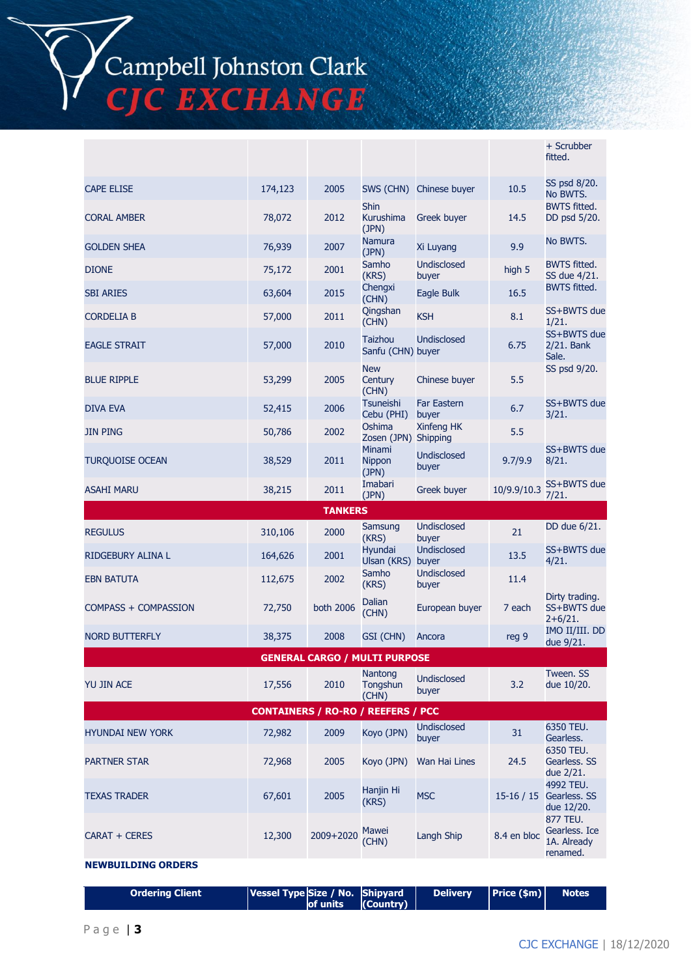Campbell Johnston Clark<br>CJC EXCHANGE

|                         |                                           |                |                                          |                             |             | + Scrubber<br>fitted.                                |
|-------------------------|-------------------------------------------|----------------|------------------------------------------|-----------------------------|-------------|------------------------------------------------------|
| <b>CAPE ELISE</b>       | 174,123                                   | 2005           | SWS (CHN)                                | Chinese buyer               | 10.5        | SS psd 8/20.<br>No BWTS.                             |
| <b>CORAL AMBER</b>      | 78,072                                    | 2012           | <b>Shin</b><br><b>Kurushima</b><br>(JPN) | Greek buyer                 | 14.5        | <b>BWTS fitted.</b><br>DD psd 5/20.                  |
| <b>GOLDEN SHEA</b>      | 76,939                                    | 2007           | Namura<br>(JPN)                          | Xi Luyang                   | 9.9         | No BWTS.                                             |
| <b>DIONE</b>            | 75,172                                    | 2001           | Samho<br>(KRS)                           | <b>Undisclosed</b><br>buyer | high 5      | <b>BWTS fitted.</b><br>SS due 4/21.                  |
| <b>SBI ARIES</b>        | 63,604                                    | 2015           | Chengxi<br>(CHN)                         | Eagle Bulk                  | 16.5        | <b>BWTS fitted.</b>                                  |
| <b>CORDELIA B</b>       | 57,000                                    | 2011           | Qingshan<br>(CHN)                        | <b>KSH</b>                  | 8.1         | SS+BWTS due<br>1/21.                                 |
| <b>EAGLE STRAIT</b>     | 57,000                                    | 2010           | <b>Taizhou</b><br>Sanfu (CHN) buyer      | <b>Undisclosed</b>          | 6.75        | SS+BWTS due<br>2/21. Bank<br>Sale.                   |
| <b>BLUE RIPPLE</b>      | 53,299                                    | 2005           | <b>New</b><br>Century<br>(CHN)           | Chinese buyer               | 5.5         | SS psd 9/20.                                         |
| <b>DIVA EVA</b>         | 52,415                                    | 2006           | <b>Tsuneishi</b><br>Cebu (PHI)           | <b>Far Eastern</b><br>buyer | 6.7         | SS+BWTS due<br>3/21.                                 |
| <b>JIN PING</b>         | 50,786                                    | 2002           | Oshima<br>Zosen (JPN) Shipping           | Xinfeng HK                  | 5.5         |                                                      |
| <b>TURQUOISE OCEAN</b>  | 38,529                                    | 2011           | <b>Minami</b><br>Nippon<br>(JPN)         | <b>Undisclosed</b><br>buyer | 9.7/9.9     | SS+BWTS due<br>8/21.                                 |
| <b>ASAHI MARU</b>       | 38,215                                    | 2011           | Imabari<br>(JPN)                         | Greek buyer                 | 10/9.9/10.3 | SS+BWTS due<br>7/21.                                 |
|                         |                                           |                |                                          |                             |             |                                                      |
|                         |                                           | <b>TANKERS</b> |                                          |                             |             |                                                      |
| <b>REGULUS</b>          | 310,106                                   | 2000           | Samsung<br>(KRS)                         | <b>Undisclosed</b><br>buyer | 21          | DD due 6/21.                                         |
| RIDGEBURY ALINA L       | 164,626                                   | 2001           | Hyundai<br>Ulsan (KRS)                   | <b>Undisclosed</b><br>buyer | 13.5        | SS+BWTS due<br>4/21.                                 |
| <b>EBN BATUTA</b>       | 112,675                                   | 2002           | Samho<br>(KRS)                           | <b>Undisclosed</b><br>buyer | 11.4        |                                                      |
| COMPASS + COMPASSION    | 72,750                                    | both 2006      | Dalian<br>(CHN)                          | European buyer              | 7 each      | Dirty trading.<br>SS+BWTS due<br>$2+6/21.$           |
| <b>NORD BUTTERFLY</b>   | 38,375                                    | 2008           | GSI (CHN)                                | Ancora                      | reg 9       | IMO II/III. DD<br>due 9/21.                          |
|                         |                                           |                | GENERAL CARGO / MULTI PURPOSE            |                             |             |                                                      |
| YU JIN ACE              | 17,556                                    | 2010           | Nantong<br>Tongshun<br>(CHN)             | <b>Undisclosed</b><br>buyer | 3.2         | Tween. SS<br>due 10/20.                              |
|                         | <b>CONTAINERS / RO-RO / REEFERS / PCC</b> |                |                                          |                             |             |                                                      |
| <b>HYUNDAI NEW YORK</b> | 72,982                                    | 2009           | Koyo (JPN)                               | <b>Undisclosed</b><br>buyer | 31          | 6350 TEU.<br>Gearless.                               |
| <b>PARTNER STAR</b>     | 72,968                                    | 2005           | Koyo (JPN)                               | Wan Hai Lines               | 24.5        | 6350 TEU.<br>Gearless. SS<br>due 2/21.               |
| <b>TEXAS TRADER</b>     | 67,601                                    | 2005           | Hanjin Hi<br>(KRS)                       | <b>MSC</b>                  | $15-16/15$  | 4992 TEU.<br>Gearless. SS<br>due 12/20.              |
| CARAT + CERES           | 12,300                                    | 2009+2020      | Mawei<br>(CHN)                           | Langh Ship                  | 8.4 en bloc | 877 TEU.<br>Gearless. Ice<br>1A. Already<br>renamed. |

| <b>Ordering Client</b> | <b>Vessel Type Size / No. Shipyard</b> | Delivery Price (\$m) |  | Notes <sup>1</sup> |
|------------------------|----------------------------------------|----------------------|--|--------------------|
|------------------------|----------------------------------------|----------------------|--|--------------------|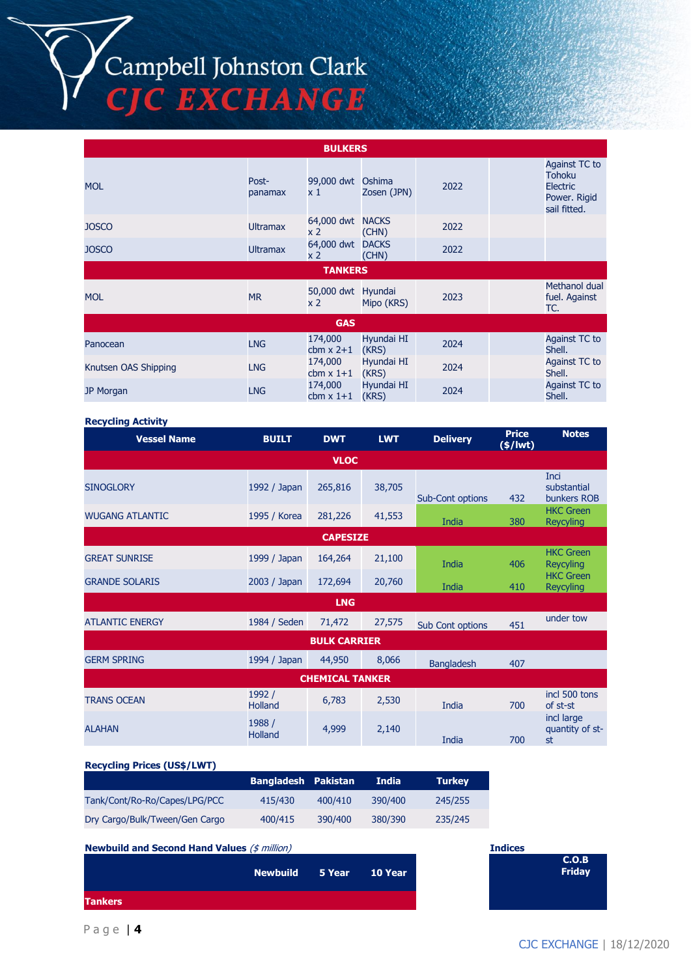# Campbell Johnston Clark<br>CJC EXCHANGE

|                      |                  | <b>BULKERS</b>                       |                       |      |                                                                                   |
|----------------------|------------------|--------------------------------------|-----------------------|------|-----------------------------------------------------------------------------------|
| <b>MOL</b>           | Post-<br>panamax | 99,000 dwt Oshima<br>$\times 1$      | Zosen (JPN)           | 2022 | Against TC to<br><b>Tohoku</b><br><b>Electric</b><br>Power. Rigid<br>sail fitted. |
| <b>JOSCO</b>         | <b>Ultramax</b>  | 64,000 dwt NACKS<br>x <sub>2</sub>   | (CHN)                 | 2022 |                                                                                   |
| <b>JOSCO</b>         | <b>Ultramax</b>  | 64,000 dwt<br>x <sub>2</sub>         | <b>DACKS</b><br>(CHN) | 2022 |                                                                                   |
|                      |                  | <b>TANKERS</b>                       |                       |      |                                                                                   |
| <b>MOL</b>           | <b>MR</b>        | 50,000 dwt Hyundai<br>x <sub>2</sub> | Mipo (KRS)            | 2023 | Methanol dual<br>fuel. Against<br>TC.                                             |
|                      |                  | <b>GAS</b>                           |                       |      |                                                                                   |
| Panocean             | <b>LNG</b>       | 174,000<br>cbm $x$ 2+1               | Hyundai HI<br>(KRS)   | 2024 | Against TC to<br>Shell.                                                           |
| Knutsen OAS Shipping | <b>LNG</b>       | 174,000<br>cbm $x$ 1+1               | Hyundai HI<br>(KRS)   | 2024 | Against TC to<br>Shell.                                                           |
| JP Morgan            | <b>LNG</b>       | 174,000<br>cbm $x$ 1+1               | Hyundai HI<br>(KRS)   | 2024 | Against TC to<br>Shell.                                                           |

#### **Recycling Activity**

| <b>Vessel Name</b>     | <b>BUILT</b>      | <b>DWT</b>             | <b>LWT</b> | <b>Delivery</b>   | <b>Price</b><br>$(*)$ lwt $)$ | <b>Notes</b>                         |
|------------------------|-------------------|------------------------|------------|-------------------|-------------------------------|--------------------------------------|
|                        |                   | <b>VLOC</b>            |            |                   |                               |                                      |
| <b>SINOGLORY</b>       | 1992 / Japan      | 265,816                | 38,705     | Sub-Cont options  | 432                           | Inci<br>substantial<br>bunkers ROB   |
| <b>WUGANG ATLANTIC</b> | 1995 / Korea      | 281,226                | 41,553     | India             | 380                           | <b>HKC Green</b><br><b>Reycyling</b> |
|                        |                   | <b>CAPESIZE</b>        |            |                   |                               |                                      |
| <b>GREAT SUNRISE</b>   | 1999 / Japan      | 164,264                | 21,100     | India             | 406                           | <b>HKC Green</b><br><b>Reycyling</b> |
| <b>GRANDE SOLARIS</b>  | 2003 / Japan      | 172,694                | 20,760     | India             | 410                           | <b>HKC Green</b><br><b>Reycyling</b> |
|                        |                   | <b>LNG</b>             |            |                   |                               |                                      |
| <b>ATLANTIC ENERGY</b> | 1984 / Seden      | 71,472                 | 27,575     | Sub Cont options  | 451                           | under tow                            |
|                        |                   | <b>BULK CARRIER</b>    |            |                   |                               |                                      |
| <b>GERM SPRING</b>     | 1994 / Japan      | 44,950                 | 8,066      | <b>Bangladesh</b> | 407                           |                                      |
|                        |                   | <b>CHEMICAL TANKER</b> |            |                   |                               |                                      |
| <b>TRANS OCEAN</b>     | 1992 /<br>Holland | 6,783                  | 2,530      | India             | 700                           | incl 500 tons<br>of st-st            |
| <b>ALAHAN</b>          | 1988 /<br>Holland | 4,999                  | 2,140      | India             | 700                           | incl large<br>quantity of st-<br>st  |

#### **Recycling Prices (US\$/LWT)**

|                                | Bangladesh Pakistan |         | India.  | <b>Turkey</b> |
|--------------------------------|---------------------|---------|---------|---------------|
| Tank/Cont/Ro-Ro/Capes/LPG/PCC  | 415/430             | 400/410 | 390/400 | 245/255       |
| Dry Cargo/Bulk/Tween/Gen Cargo | 400/415             | 390/400 | 380/390 | 235/245       |

**Newbuild and Second Hand Values** (\$ million) **Indices**

|                | Newbuild 5 Year 10 Year |  |
|----------------|-------------------------|--|
| <b>Tankers</b> |                         |  |

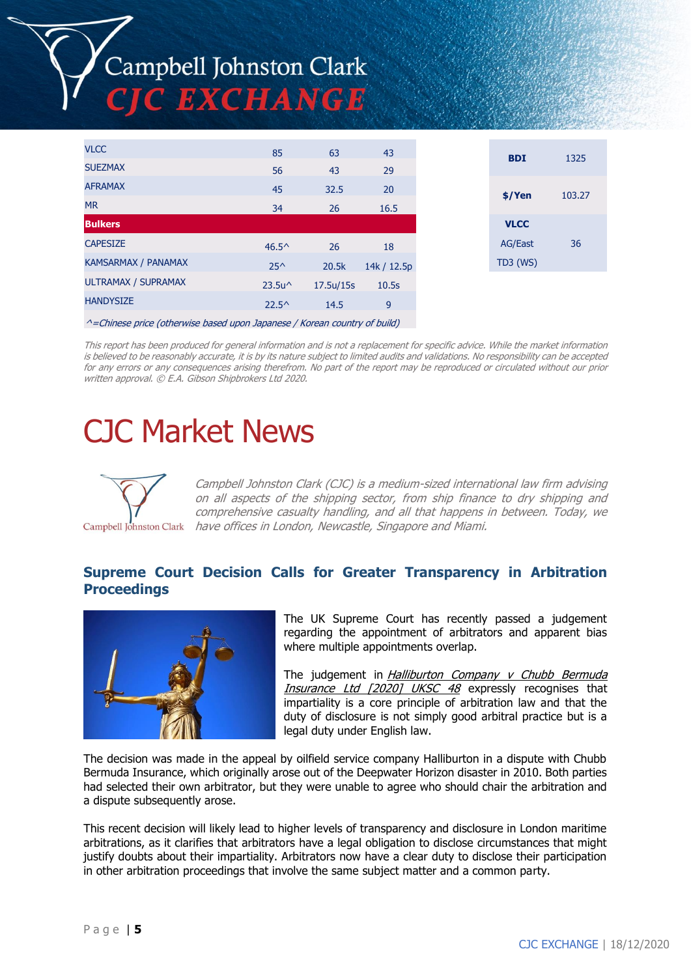# Campbell Johnston Clark C EXCHANGE

| <b>VLCC</b>                | 85               | 63        | 43          |
|----------------------------|------------------|-----------|-------------|
| <b>SUEZMAX</b>             | 56               | 43        | 29          |
| <b>AFRAMAX</b>             | 45               | 32.5      | 20          |
| <b>MR</b>                  | 34               | 26        | 16.5        |
| <b>Bulkers</b>             |                  |           |             |
| <b>CAPESIZE</b>            | $46.5^{\circ}$   | 26        | 18          |
| <b>KAMSARMAX / PANAMAX</b> | $25^{\wedge}$    | 20.5k     | 14k / 12.5p |
| ULTRAMAX / SUPRAMAX        | $23.5u^{\wedge}$ | 17.5u/15s | 10.5s       |
| <b>HANDYSIZE</b>           | $22.5^{\circ}$   | 14.5      | 9           |
|                            |                  |           |             |

 $^{\wedge}$ =Chinese price (otherwise based upon Japanese / Korean country of build)

This report has been produced for general information and is not a replacement for specific advice. While the market information is believed to be reasonably accurate, it is by its nature subject to limited audits and validations. No responsibility can be accepted for any errors or any consequences arising therefrom. No part of the report may be reproduced or circulated without our prior written approval. © E.A. Gibson Shipbrokers Ltd 2020.

## CJC Market News



Campbell Johnston Clark (CJC) is a medium-sized international law firm advising on all aspects of the shipping sector, from ship finance to dry shipping and comprehensive casualty handling, and all that happens in between. Today, we Campbell Johnston Clark have offices in London, Newcastle, Singapore and Miami.

#### **Supreme Court Decision Calls for Greater Transparency in Arbitration Proceedings**



The UK Supreme Court has recently passed a judgement regarding the appointment of arbitrators and apparent bias where multiple appointments overlap.

The judgement in Halliburton Company  $v$  Chubb Bermuda Insurance Ltd [2020] UKSC 48 expressly recognises that impartiality is a core principle of arbitration law and that the duty of disclosure is not simply good arbitral practice but is a legal duty under English law.

The decision was made in the appeal by oilfield service company Halliburton in a dispute with Chubb Bermuda Insurance, which originally arose out of the Deepwater Horizon disaster in 2010. Both parties had selected their own arbitrator, but they were unable to agree who should chair the arbitration and a dispute subsequently arose.

This recent decision will likely lead to higher levels of transparency and disclosure in London maritime arbitrations, as it clarifies that arbitrators have a legal obligation to disclose circumstances that might justify doubts about their impartiality. Arbitrators now have a clear duty to disclose their participation in other arbitration proceedings that involve the same subject matter and a common party.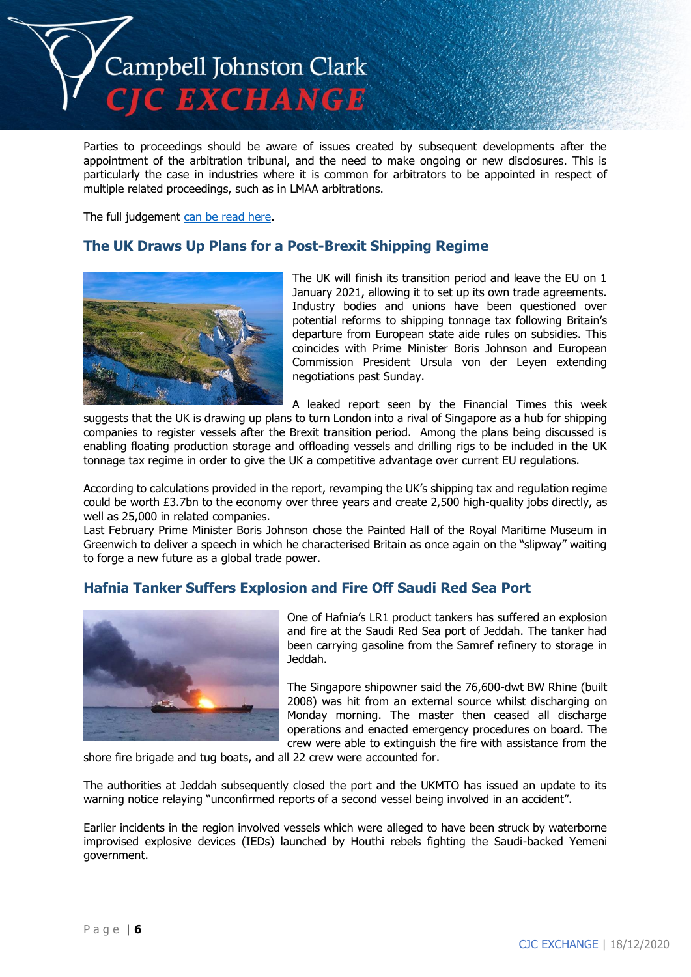

Parties to proceedings should be aware of issues created by subsequent developments after the appointment of the arbitration tribunal, and the need to make ongoing or new disclosures. This is particularly the case in industries where it is common for arbitrators to be appointed in respect of multiple related proceedings, such as in LMAA arbitrations.

The full judgement [can be read here.](https://www.supremecourt.uk/cases/docs/uksc-2018-0100-judgment.pdf)

#### **The UK Draws Up Plans for a Post-Brexit Shipping Regime**



The UK will finish its transition period and leave the EU on 1 January 2021, allowing it to set up its own trade agreements. Industry bodies and unions have been questioned over potential reforms to shipping tonnage tax following Britain's departure from European state aide rules on subsidies. This coincides with Prime Minister Boris Johnson and European Commission President Ursula von der Leyen extending negotiations past Sunday.

A leaked report seen by the Financial Times this week suggests that the UK is drawing up plans to turn London into a rival of Singapore as a hub for shipping companies to register vessels after the Brexit transition period. Among the plans being discussed is enabling floating production storage and offloading vessels and drilling rigs to be included in the UK tonnage tax regime in order to give the UK a competitive advantage over current EU regulations.

According to calculations provided in the report, revamping the UK's shipping tax and regulation regime could be worth £3.7bn to the economy over three years and create 2,500 high-quality jobs directly, as well as 25,000 in related companies.

Last February Prime Minister Boris Johnson chose the Painted Hall of the Royal Maritime Museum in Greenwich to deliver a speech in which he characterised Britain as once again on the "slipway" waiting to forge a new future as a global trade power.

#### **Hafnia Tanker Suffers Explosion and Fire Off Saudi Red Sea Port**



One of Hafnia's LR1 product tankers has suffered an explosion and fire at the Saudi Red Sea port of Jeddah. The tanker had been carrying gasoline from the Samref refinery to storage in Jeddah.

The Singapore shipowner said the 76,600-dwt BW Rhine (built 2008) was hit from an external source whilst discharging on Monday morning. The master then ceased all discharge operations and enacted emergency procedures on board. The crew were able to extinguish the fire with assistance from the

shore fire brigade and tug boats, and all 22 crew were accounted for.

The authorities at Jeddah subsequently closed the port and the UKMTO has issued an update to its warning notice relaying "unconfirmed reports of a second vessel being involved in an accident".

Earlier incidents in the region involved vessels which were alleged to have been struck by waterborne improvised explosive devices (IEDs) launched by Houthi rebels fighting the Saudi-backed Yemeni government.